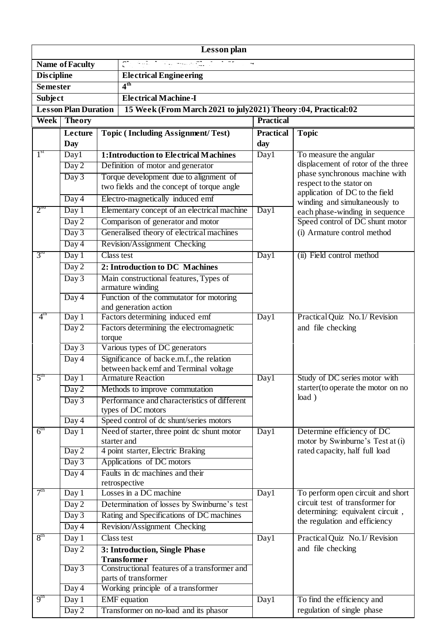| Lesson plan                                                      |                             |                                              |                                                                                    |                   |                                                                                                  |  |  |  |
|------------------------------------------------------------------|-----------------------------|----------------------------------------------|------------------------------------------------------------------------------------|-------------------|--------------------------------------------------------------------------------------------------|--|--|--|
| $\begin{bmatrix} 2 \\ 1 \end{bmatrix}$<br><b>Name of Faculty</b> |                             |                                              |                                                                                    |                   |                                                                                                  |  |  |  |
| <b>Discipline</b>                                                |                             |                                              | <b>Electrical Engineering</b>                                                      |                   |                                                                                                  |  |  |  |
| <b>Semester</b>                                                  |                             |                                              | 4 <sup>th</sup>                                                                    |                   |                                                                                                  |  |  |  |
| <b>Electrical Machine-I</b><br><b>Subject</b>                    |                             |                                              |                                                                                    |                   |                                                                                                  |  |  |  |
|                                                                  | <b>Lesson Plan Duration</b> |                                              | 15 Week (From March 2021 to july 2021) Theory :04, Practical:02                    |                   |                                                                                                  |  |  |  |
| <b>Theory</b><br>Week                                            |                             |                                              |                                                                                    | <b>Practical</b>  |                                                                                                  |  |  |  |
|                                                                  | Lecture                     |                                              | <b>Topic (Including Assignment/Test)</b>                                           | <b>Practical</b>  | <b>Topic</b>                                                                                     |  |  |  |
|                                                                  | <b>Day</b>                  |                                              |                                                                                    | day               |                                                                                                  |  |  |  |
| 1 <sup>st</sup>                                                  | Day1                        | <b>1:Introduction to Electrical Machines</b> |                                                                                    | Day1              | To measure the angular                                                                           |  |  |  |
|                                                                  | Day 2                       | Definition of motor and generator            |                                                                                    |                   | displacement of rotor of the three<br>phase synchronous machine with<br>respect to the stator on |  |  |  |
|                                                                  | Day 3                       |                                              | Torque development due to alignment of                                             |                   |                                                                                                  |  |  |  |
|                                                                  |                             |                                              | two fields and the concept of torque angle                                         |                   | application of DC to the field                                                                   |  |  |  |
|                                                                  | Day 4                       |                                              | Electro-magnetically induced emf                                                   |                   | winding and simultaneously to                                                                    |  |  |  |
| 2 <sup>nd</sup>                                                  | Day 1                       | Elementary concept of an electrical machine  |                                                                                    | Day1              | each phase-winding in sequence                                                                   |  |  |  |
|                                                                  | Day 2                       |                                              | Comparison of generator and motor                                                  |                   | Speed control of DC shunt motor                                                                  |  |  |  |
|                                                                  | Day 3                       |                                              | Generalised theory of electrical machines                                          |                   | (i) Armature control method                                                                      |  |  |  |
|                                                                  | Day 4                       |                                              | Revision/Assignment Checking                                                       |                   |                                                                                                  |  |  |  |
| 3 <sup>rd</sup>                                                  | Day 1                       | Class test                                   |                                                                                    | Day1              | (ii) Field control method                                                                        |  |  |  |
|                                                                  | Day 2                       |                                              | 2: Introduction to DC Machines                                                     |                   |                                                                                                  |  |  |  |
|                                                                  | Day 3                       |                                              | Main constructional features, Types of<br>armature winding                         |                   |                                                                                                  |  |  |  |
|                                                                  | Day 4                       |                                              | Function of the commutator for motoring                                            |                   |                                                                                                  |  |  |  |
|                                                                  |                             |                                              | and generation action                                                              |                   |                                                                                                  |  |  |  |
| $4^{\text{tn}}$                                                  | Day 1                       |                                              | Factors determining induced emf                                                    | Day1              | Practical Quiz No.1/ Revision                                                                    |  |  |  |
|                                                                  | Day 2                       |                                              | Factors determining the electromagnetic                                            |                   | and file checking                                                                                |  |  |  |
|                                                                  |                             | torque                                       |                                                                                    |                   |                                                                                                  |  |  |  |
|                                                                  | Day 3                       |                                              | Various types of DC generators                                                     |                   |                                                                                                  |  |  |  |
|                                                                  | Day 4                       |                                              | Significance of back e.m.f., the relation<br>between back emf and Terminal voltage |                   |                                                                                                  |  |  |  |
| 5 <sup>tn</sup>                                                  | Day 1                       |                                              | <b>Armature Reaction</b>                                                           | $\overline{Day}1$ | Study of DC series motor with                                                                    |  |  |  |
|                                                                  | Day 2                       |                                              | Methods to improve commutation                                                     |                   | starter(to operate the motor on no                                                               |  |  |  |
|                                                                  | Day 3                       |                                              | Performance and characteristics of different                                       |                   | load)                                                                                            |  |  |  |
|                                                                  |                             |                                              | types of DC motors                                                                 |                   |                                                                                                  |  |  |  |
|                                                                  | Day 4                       |                                              | Speed control of dc shunt/series motors                                            |                   |                                                                                                  |  |  |  |
| 6 <sup>th</sup>                                                  | Day 1                       |                                              | Need of starter, three point dc shunt motor                                        | Day1              | Determine efficiency of DC                                                                       |  |  |  |
|                                                                  |                             |                                              | starter and                                                                        |                   | motor by Swinburne's Test at (i)                                                                 |  |  |  |
|                                                                  | Day 2                       |                                              | 4 point starter, Electric Braking                                                  |                   | rated capacity, half full load                                                                   |  |  |  |
|                                                                  | Day 3                       |                                              | Applications of DC motors                                                          |                   |                                                                                                  |  |  |  |
|                                                                  | Day 4                       |                                              | Faults in dc machines and their<br>retrospective                                   |                   |                                                                                                  |  |  |  |
| 7 <sup>th</sup>                                                  | Day 1                       |                                              | Losses in a DC machine                                                             | Day1              | To perform open circuit and short                                                                |  |  |  |
|                                                                  | Day 2                       |                                              | Determination of losses by Swinburne's test                                        |                   | circuit test of transformer for                                                                  |  |  |  |
|                                                                  | Day 3                       |                                              | Rating and Specifications of DC machines                                           |                   | determining: equivalent circuit,                                                                 |  |  |  |
|                                                                  | Day 4                       |                                              | Revision/Assignment Checking                                                       |                   | the regulation and efficiency                                                                    |  |  |  |
| 8 <sup>th</sup>                                                  | Day 1                       | Class test                                   |                                                                                    | Day1              | Practical Quiz No.1/ Revision                                                                    |  |  |  |
|                                                                  | Day 2                       | 3: Introduction, Single Phase                |                                                                                    |                   | and file checking                                                                                |  |  |  |
|                                                                  |                             |                                              | <b>Transformer</b>                                                                 |                   |                                                                                                  |  |  |  |
|                                                                  | Day 3                       | Constructional features of a transformer and |                                                                                    |                   |                                                                                                  |  |  |  |
|                                                                  |                             |                                              | parts of transformer                                                               |                   |                                                                                                  |  |  |  |
| 9 <sup>th</sup>                                                  | Day 4                       |                                              | Working principle of a transformer                                                 |                   |                                                                                                  |  |  |  |
|                                                                  | Day 1                       | <b>EMF</b> equation                          |                                                                                    | Day1              | To find the efficiency and<br>regulation of single phase                                         |  |  |  |
|                                                                  | Day 2                       |                                              | Transformer on no-load and its phasor                                              |                   |                                                                                                  |  |  |  |